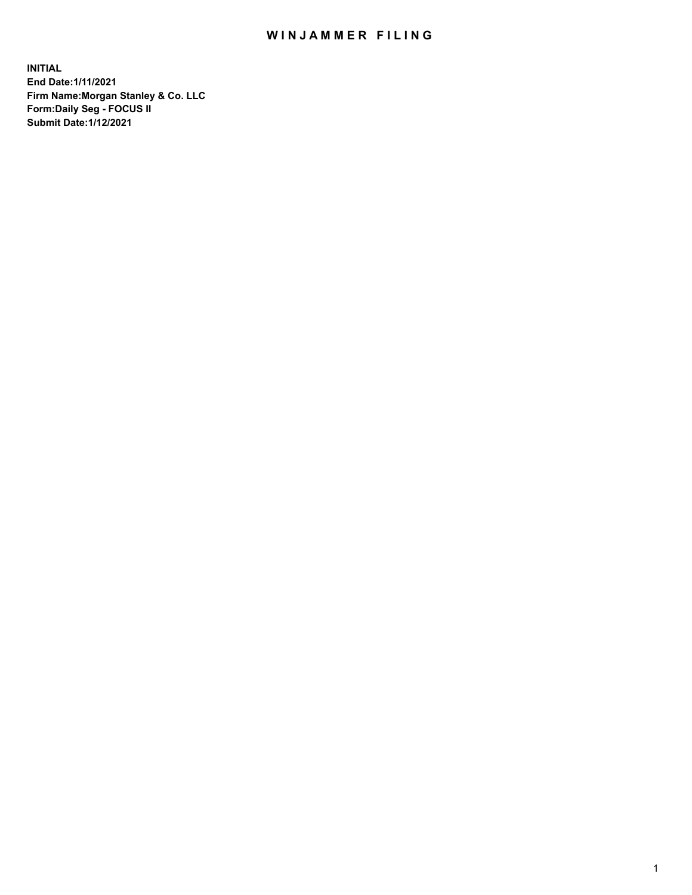## WIN JAMMER FILING

**INITIAL End Date:1/11/2021 Firm Name:Morgan Stanley & Co. LLC Form:Daily Seg - FOCUS II Submit Date:1/12/2021**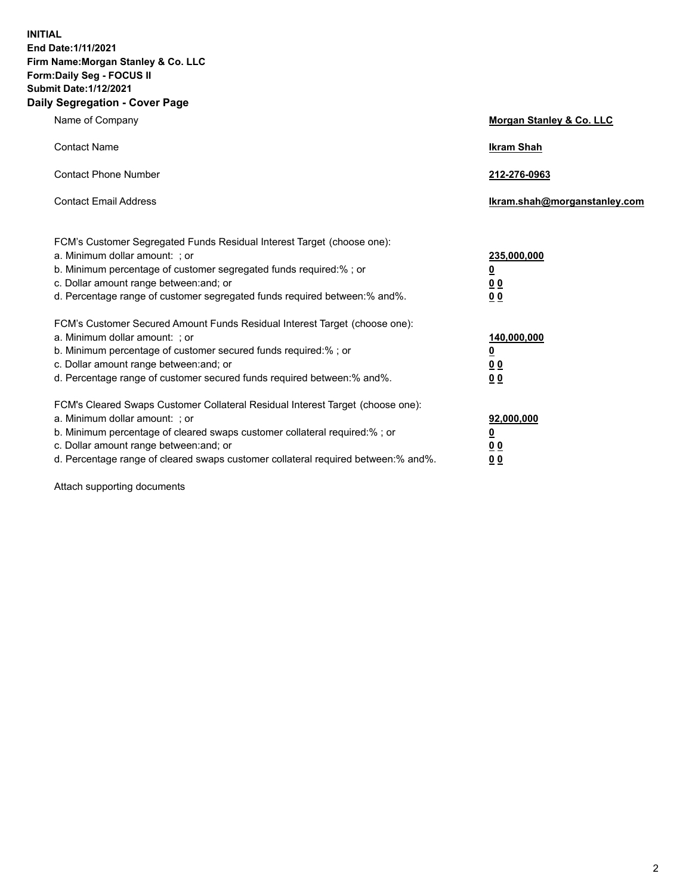**INITIAL End Date:1/11/2021 Firm Name:Morgan Stanley & Co. LLC Form:Daily Seg - FOCUS II Submit Date:1/12/2021 Daily Segregation - Cover Page**

| Name of Company                                                                                                                                                                                                                                                                                                                | <b>Morgan Stanley &amp; Co. LLC</b>                     |
|--------------------------------------------------------------------------------------------------------------------------------------------------------------------------------------------------------------------------------------------------------------------------------------------------------------------------------|---------------------------------------------------------|
| <b>Contact Name</b>                                                                                                                                                                                                                                                                                                            | <b>Ikram Shah</b>                                       |
| <b>Contact Phone Number</b>                                                                                                                                                                                                                                                                                                    | 212-276-0963                                            |
| <b>Contact Email Address</b>                                                                                                                                                                                                                                                                                                   | Ikram.shah@morganstanley.com                            |
| FCM's Customer Segregated Funds Residual Interest Target (choose one):<br>a. Minimum dollar amount: ; or<br>b. Minimum percentage of customer segregated funds required:% ; or<br>c. Dollar amount range between: and; or                                                                                                      | 235,000,000<br><u>0</u><br><u>00</u>                    |
| d. Percentage range of customer segregated funds required between:% and%.<br>FCM's Customer Secured Amount Funds Residual Interest Target (choose one):                                                                                                                                                                        | 0 <sup>0</sup>                                          |
| a. Minimum dollar amount: ; or<br>b. Minimum percentage of customer secured funds required:%; or<br>c. Dollar amount range between: and; or<br>d. Percentage range of customer secured funds required between: % and %.                                                                                                        | 140,000,000<br><u>0</u><br><u>0 0</u><br>0 <sub>0</sub> |
| FCM's Cleared Swaps Customer Collateral Residual Interest Target (choose one):<br>a. Minimum dollar amount: ; or<br>b. Minimum percentage of cleared swaps customer collateral required:% ; or<br>c. Dollar amount range between: and; or<br>d. Percentage range of cleared swaps customer collateral required between:% and%. | 92,000,000<br><u>0</u><br>0 Q<br>0 <sub>0</sub>         |

Attach supporting documents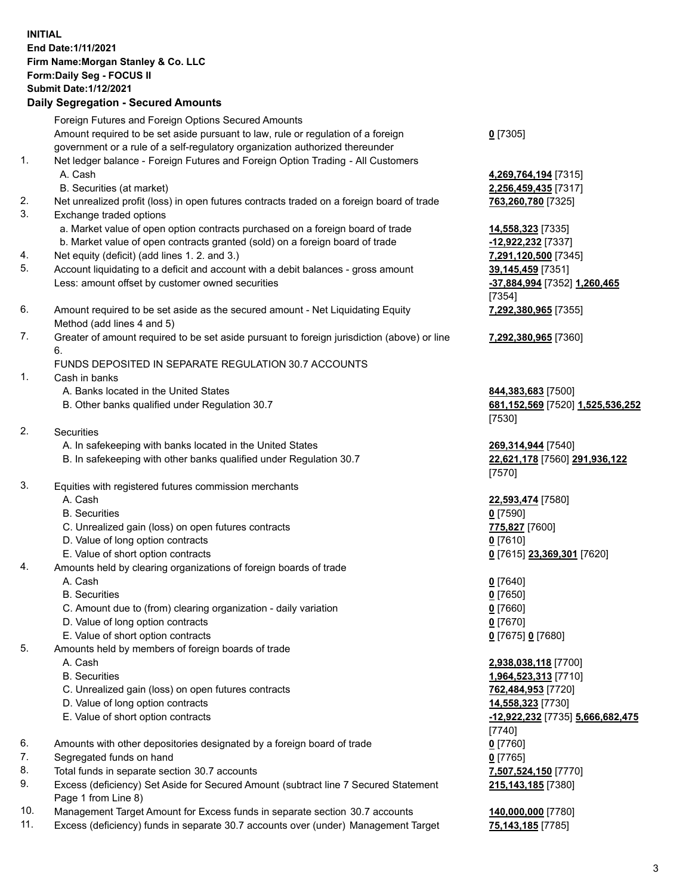## **INITIAL End Date:1/11/2021 Firm Name:Morgan Stanley & Co. LLC Form:Daily Seg - FOCUS II Submit Date:1/12/2021 Daily Segregation - Secured Amounts**

Foreign Futures and Foreign Options Secured Amounts

Amount required to be set aside pursuant to law, rule or regulation of a foreign government or a rule of a self-regulatory organization authorized thereunder

- 1. Net ledger balance Foreign Futures and Foreign Option Trading All Customers A. Cash **4,269,764,194** [7315]
	- B. Securities (at market) **2,256,459,435** [7317]
- 2. Net unrealized profit (loss) in open futures contracts traded on a foreign board of trade **763,260,780** [7325]
- 3. Exchange traded options
	- a. Market value of open option contracts purchased on a foreign board of trade **14,558,323** [7335]
	- b. Market value of open contracts granted (sold) on a foreign board of trade **-12,922,232** [7337]
- 4. Net equity (deficit) (add lines 1. 2. and 3.) **7,291,120,500** [7345]
- 5. Account liquidating to a deficit and account with a debit balances gross amount **39,145,459** [7351] Less: amount offset by customer owned securities **-37,884,994** [7352] **1,260,465**
- 6. Amount required to be set aside as the secured amount Net Liquidating Equity Method (add lines 4 and 5)
- 7. Greater of amount required to be set aside pursuant to foreign jurisdiction (above) or line 6.

## FUNDS DEPOSITED IN SEPARATE REGULATION 30.7 ACCOUNTS

- 1. Cash in banks
	- A. Banks located in the United States **844,383,683** [7500]
	- B. Other banks qualified under Regulation 30.7 **681,152,569** [7520] **1,525,536,252**
- 2. Securities
	- A. In safekeeping with banks located in the United States **269,314,944** [7540]
	- B. In safekeeping with other banks qualified under Regulation 30.7 **22,621,178** [7560] **291,936,122**
- 3. Equities with registered futures commission merchants
	-
	- B. Securities **0** [7590]
	- C. Unrealized gain (loss) on open futures contracts **775,827** [7600]
	- D. Value of long option contracts **0** [7610]
	- E. Value of short option contracts **0** [7615] **23,369,301** [7620]
- 4. Amounts held by clearing organizations of foreign boards of trade
	- A. Cash **0** [7640]
	- B. Securities **0** [7650]
	- C. Amount due to (from) clearing organization daily variation **0** [7660]
	- D. Value of long option contracts **0** [7670]
	- E. Value of short option contracts **0** [7675] **0** [7680]
- 5. Amounts held by members of foreign boards of trade
	-
	-
	- C. Unrealized gain (loss) on open futures contracts **762,484,953** [7720]
	- D. Value of long option contracts **14,558,323** [7730]
	- E. Value of short option contracts **-12,922,232** [7735] **5,666,682,475**
- 6. Amounts with other depositories designated by a foreign board of trade **0** [7760]
- 7. Segregated funds on hand **0** [7765]
- 8. Total funds in separate section 30.7 accounts **7,507,524,150** [7770]
- 9. Excess (deficiency) Set Aside for Secured Amount (subtract line 7 Secured Statement Page 1 from Line 8)
- 10. Management Target Amount for Excess funds in separate section 30.7 accounts **140,000,000** [7780]
- 11. Excess (deficiency) funds in separate 30.7 accounts over (under) Management Target **75,143,185** [7785]

**0** [7305]

[7354] **7,292,380,965** [7355]

**7,292,380,965** [7360]

[7530]

[7570]

A. Cash **22,593,474** [7580]

 A. Cash **2,938,038,118** [7700] B. Securities **1,964,523,313** [7710] [7740] **215,143,185** [7380]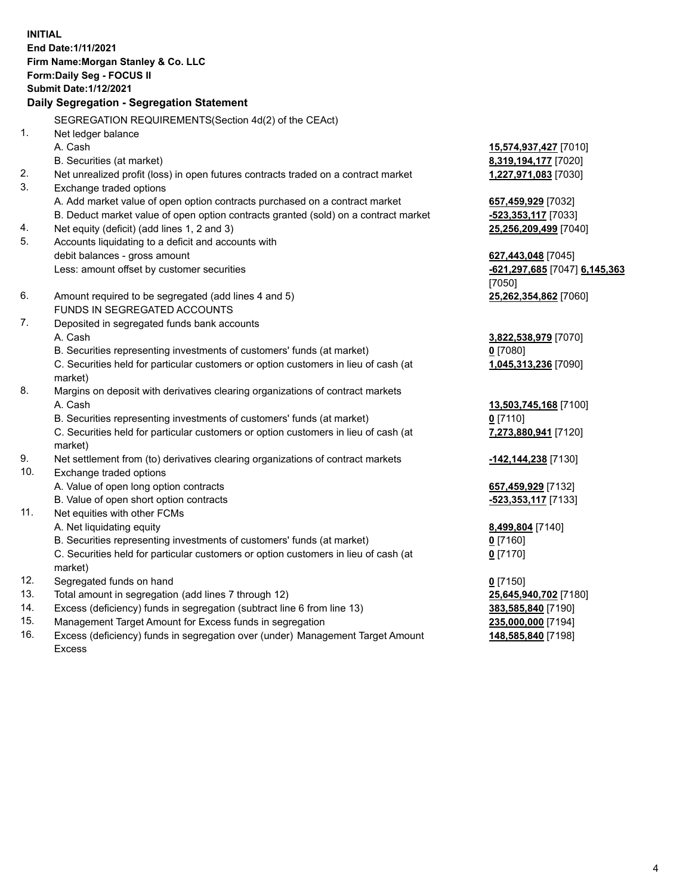**INITIAL End Date:1/11/2021 Firm Name:Morgan Stanley & Co. LLC Form:Daily Seg - FOCUS II Submit Date:1/12/2021 Daily Segregation - Segregation Statement** SEGREGATION REQUIREMENTS(Section 4d(2) of the CEAct) 1. Net ledger balance A. Cash **15,574,937,427** [7010] B. Securities (at market) **8,319,194,177** [7020] 2. Net unrealized profit (loss) in open futures contracts traded on a contract market **1,227,971,083** [7030] 3. Exchange traded options A. Add market value of open option contracts purchased on a contract market **657,459,929** [7032] B. Deduct market value of open option contracts granted (sold) on a contract market **-523,353,117** [7033] 4. Net equity (deficit) (add lines 1, 2 and 3) **25,256,209,499** [7040] 5. Accounts liquidating to a deficit and accounts with debit balances - gross amount **627,443,048** [7045] Less: amount offset by customer securities **-621,297,685** [7047] **6,145,363** [7050] 6. Amount required to be segregated (add lines 4 and 5) **25,262,354,862** [7060] FUNDS IN SEGREGATED ACCOUNTS 7. Deposited in segregated funds bank accounts A. Cash **3,822,538,979** [7070] B. Securities representing investments of customers' funds (at market) **0** [7080] C. Securities held for particular customers or option customers in lieu of cash (at market) **1,045,313,236** [7090] 8. Margins on deposit with derivatives clearing organizations of contract markets A. Cash **13,503,745,168** [7100] B. Securities representing investments of customers' funds (at market) **0** [7110] C. Securities held for particular customers or option customers in lieu of cash (at market) **7,273,880,941** [7120] 9. Net settlement from (to) derivatives clearing organizations of contract markets **-142,144,238** [7130] 10. Exchange traded options A. Value of open long option contracts **657,459,929** [7132] B. Value of open short option contracts **-523,353,117** [7133] 11. Net equities with other FCMs A. Net liquidating equity **8,499,804** [7140] B. Securities representing investments of customers' funds (at market) **0** [7160] C. Securities held for particular customers or option customers in lieu of cash (at market) **0** [7170] 12. Segregated funds on hand **0** [7150] 13. Total amount in segregation (add lines 7 through 12) **25,645,940,702** [7180] 14. Excess (deficiency) funds in segregation (subtract line 6 from line 13) **383,585,840** [7190] 15. Management Target Amount for Excess funds in segregation **235,000,000** [7194]

16. Excess (deficiency) funds in segregation over (under) Management Target Amount Excess

**148,585,840** [7198]